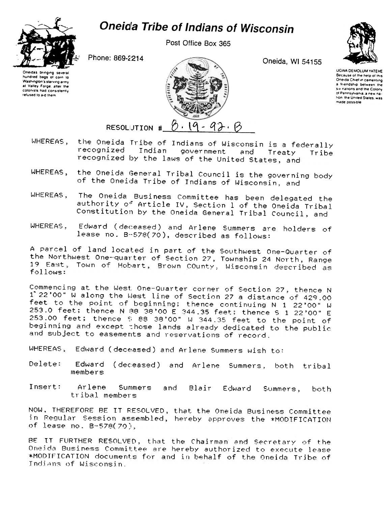

Post Office Box 365



Phone: 869-2214





Oneida, WI 54155



**UGWA DEMOLUM YATEHE** Because of the help of this Oneida Chief in cementing a friendship between the Six nations and the Colony of Pennsylvania, a new nation, the United States, was made possible

- 92. B RESOLUTION #

- the Oneida Tribe of Indians of Wisconsin is a federally WHEREAS. recognized Indian government and Treaty Tribe recognized by the laws of the United States, and
- the Oneida General Tribal Council is the governing body WHEREAS. of the Oneida Tribe of Indians of Wisconsin, and
- The Oneida Business Committee has been delegated the WHEREAS, authority of Article IV, Section 1 of the Oneida Tribal Constitution by the Oneida General Tribal Council, and
- Edward (deceased) and Arlene Summers are holders of WHEREAS. lease no. B-578(70), described as follows:

A parcel of land located in part of the Southwest One-Quarter of the Northwest One-quarter of Section 27, Township 24 North, Range 19 East, Town of Hobart, Brown COunty, Wisconsin described as follows:

Commencing at the West One-Quarter corner of Section 27, thence N 1 22'00" W along the West line of Section 27 a distance of 429.00<br>feet to the point of beginning; thence continuing N 1 22'00" W 253.0 feet; thence N 38 38'00 E 344.35 feet; thence S 1 22'00" E 253.00 feet; thence \$88 38'00" W 344.35 feet to the point of beginning and except those lands already dedicated to the public and subject to easements and reservations of record.

WHEREAS, Edward (deceased) and Arlene Summers wish to:

- Delete: Edward (deceased) and Arlene Summers, both tribal members
- Insert: Arlene Summers and Blair Edward Summers, both tribal members

NOW, THEREFORE BE IT RESOLVED, that the Oneida Business Committee in Regular Session assembled, hereby approves the \*MODIFICATION of lease no. B-578(70).

BE IT FURTHER RESOLVED, that the Chairman and Secretary of the Oneida Business Committee are hereby authorized to execute lease \*MODIFICATION documents for and in behalf of the Oneida Tribe of Indians of Wisconsin.